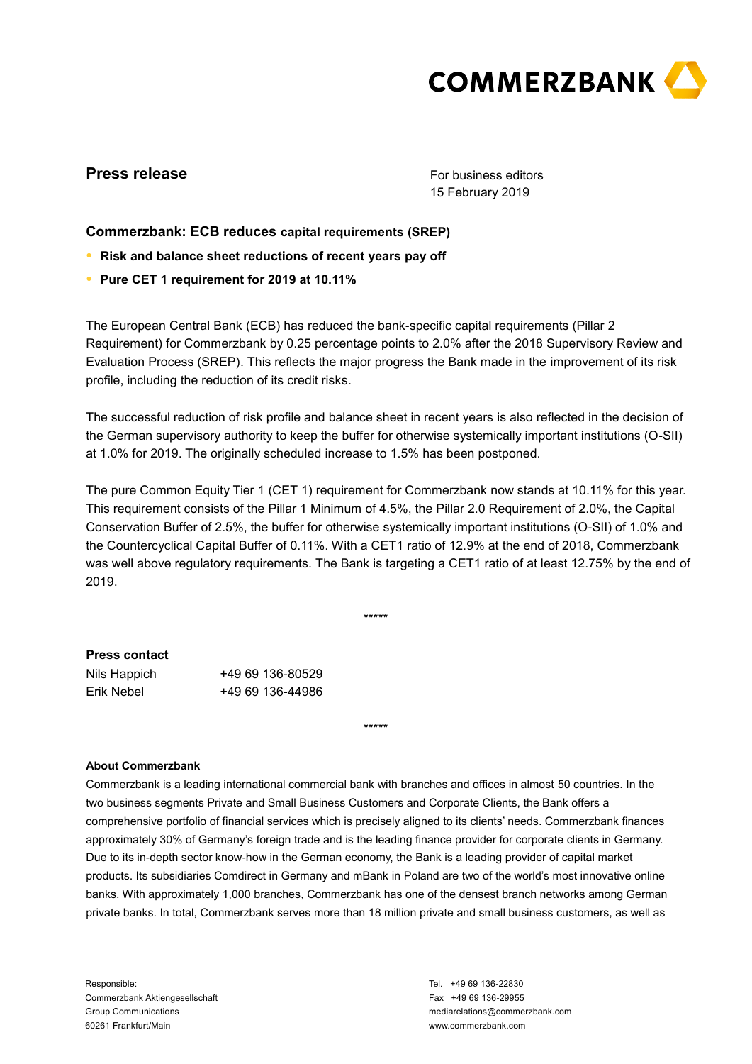

# **Press release**

For business editors 15 February 2019

## **Commerzbank: ECB reduces capital requirements (SREP)**

- **● Risk and balance sheet reductions of recent years pay off**
- **● Pure CET 1 requirement for 2019 at 10.11%**

The European Central Bank (ECB) has reduced the bank-specific capital requirements (Pillar 2 Requirement) for Commerzbank by 0.25 percentage points to 2.0% after the 2018 Supervisory Review and Evaluation Process (SREP). This reflects the major progress the Bank made in the improvement of its risk profile, including the reduction of its credit risks.

The successful reduction of risk profile and balance sheet in recent years is also reflected in the decision of the German supervisory authority to keep the buffer for otherwise systemically important institutions (O-SII) at 1.0% for 2019. The originally scheduled increase to 1.5% has been postponed.

The pure Common Equity Tier 1 (CET 1) requirement for Commerzbank now stands at 10.11% for this year. This requirement consists of the Pillar 1 Minimum of 4.5%, the Pillar 2.0 Requirement of 2.0%, the Capital Conservation Buffer of 2.5%, the buffer for otherwise systemically important institutions (O-SII) of 1.0% and the Countercyclical Capital Buffer of 0.11%. With a CET1 ratio of 12.9% at the end of 2018, Commerzbank was well above regulatory requirements. The Bank is targeting a CET1 ratio of at least 12.75% by the end of 2019.

\*\*\*\*\*

\*\*\*\*\*

## **Press contact**

| Nils Happich | +49 69 136-80529 |
|--------------|------------------|
| Erik Nebel   | +49 69 136-44986 |

### **About Commerzbank**

Commerzbank is a leading international commercial bank with branches and offices in almost 50 countries. In the two business segments Private and Small Business Customers and Corporate Clients, the Bank offers a comprehensive portfolio of financial services which is precisely aligned to its clients' needs. Commerzbank finances approximately 30% of Germany's foreign trade and is the leading finance provider for corporate clients in Germany. Due to its in-depth sector know-how in the German economy, the Bank is a leading provider of capital market products. Its subsidiaries Comdirect in Germany and mBank in Poland are two of the world's most innovative online banks. With approximately 1,000 branches, Commerzbank has one of the densest branch networks among German private banks. In total, Commerzbank serves more than 18 million private and small business customers, as well as

Responsible: Commerzbank Aktiengesellschaft Group Communications 60261 Frankfurt/Main

Tel. +49 69 136-22830 Fax +49 69 136-29955 mediarelations@commerzbank.com www.commerzbank.com